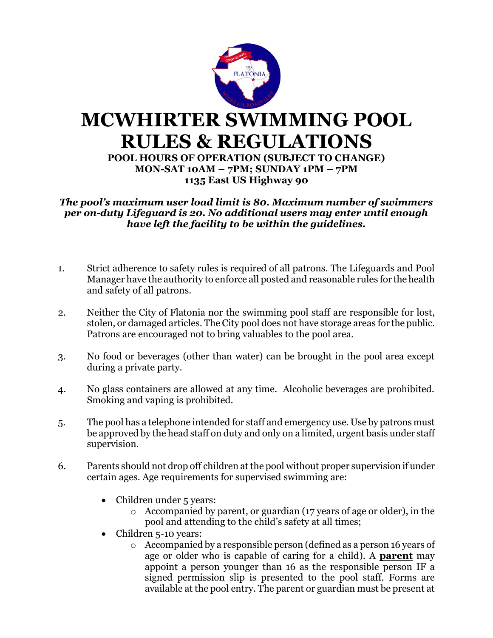

*The pool's maximum user load limit is 80. Maximum number of swimmers per on-duty Lifeguard is 20. No additional users may enter until enough have left the facility to be within the guidelines.*

- 1. Strict adherence to safety rules is required of all patrons. The Lifeguards and Pool Manager have the authority to enforce all posted and reasonable rules for the health and safety of all patrons.
- 2. Neither the City of Flatonia nor the swimming pool staff are responsible for lost, stolen, or damaged articles. The City pool does not have storage areas for the public. Patrons are encouraged not to bring valuables to the pool area.
- 3. No food or beverages (other than water) can be brought in the pool area except during a private party.
- 4. No glass containers are allowed at any time. Alcoholic beverages are prohibited. Smoking and vaping is prohibited.
- 5. The pool has a telephone intended for staff and emergency use. Use by patrons must be approved by the head staff on duty and only on a limited, urgent basis under staff supervision.
- 6. Parents should not drop off children at the pool without proper supervision if under certain ages. Age requirements for supervised swimming are:
	- Children under 5 years:
		- o Accompanied by parent, or guardian (17 years of age or older), in the pool and attending to the child's safety at all times;
	- Children 5-10 years:
		- o Accompanied by a responsible person (defined as a person 16 years of age or older who is capable of caring for a child). A **parent** may appoint a person younger than 16 as the responsible person IF a signed permission slip is presented to the pool staff. Forms are available at the pool entry. The parent or guardian must be present at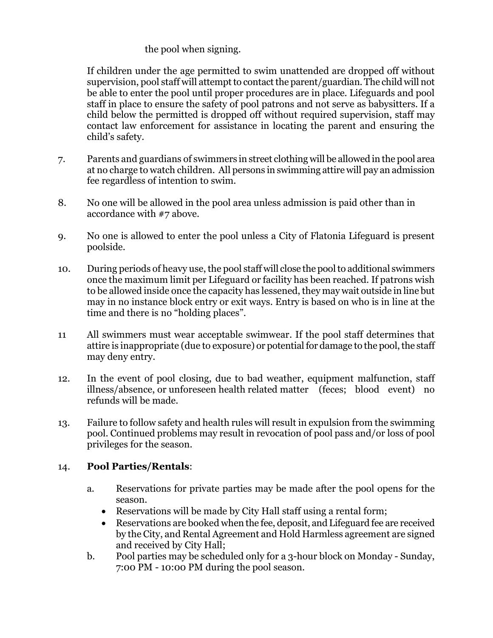## the pool when signing.

If children under the age permitted to swim unattended are dropped off without supervision, pool staff will attempt to contact the parent/guardian. The child will not be able to enter the pool until proper procedures are in place. Lifeguards and pool staff in place to ensure the safety of pool patrons and not serve as babysitters. If a child below the permitted is dropped off without required supervision, staff may contact law enforcement for assistance in locating the parent and ensuring the child's safety.

- 7. Parents and guardians of swimmers in street clothing will be allowed in the pool area at no charge to watch children. All persons in swimming attire will pay an admission fee regardless of intention to swim.
- 8. No one will be allowed in the pool area unless admission is paid other than in accordance with #7 above.
- 9. No one is allowed to enter the pool unless a City of Flatonia Lifeguard is present poolside.
- 10. During periods of heavy use, the pool staff will close the pool to additional swimmers once the maximum limit per Lifeguard or facility has been reached. If patrons wish to be allowed inside once the capacity has lessened, they may wait outside in line but may in no instance block entry or exit ways. Entry is based on who is in line at the time and there is no "holding places".
- 11 All swimmers must wear acceptable swimwear. If the pool staff determines that attire is inappropriate (due to exposure) or potential for damage to the pool, the staff may deny entry.
- 12. In the event of pool closing, due to bad weather, equipment malfunction, staff illness/absence, or unforeseen health related matter (feces; blood event) no refunds will be made.
- 13. Failure to follow safety and health rules will result in expulsion from the swimming pool. Continued problems may result in revocation of pool pass and/or loss of pool privileges for the season.

## 14. **Pool Parties/Rentals**:

- a. Reservations for private parties may be made after the pool opens for the season.
	- Reservations will be made by City Hall staff using a rental form;
	- Reservations are booked when the fee, deposit, and Lifeguard fee are received by the City, and Rental Agreement and Hold Harmless agreement are signed and received by City Hall;
- b. Pool parties may be scheduled only for a 3-hour block on Monday Sunday, 7:00 PM - 10:00 PM during the pool season.